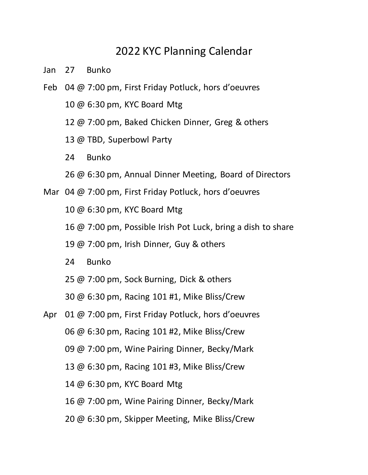## 2022 KYC Planning Calendar

- Jan 27 Bunko
- Feb 04 @ 7:00 pm, First Friday Potluck, hors d'oeuvres
	- 10 @ 6:30 pm, KYC Board Mtg
	- 12 @ 7:00 pm, Baked Chicken Dinner, Greg & others
	- 13 @ TBD, Superbowl Party
	- 24 Bunko
	- 26 @ 6:30 pm, Annual Dinner Meeting, Board of Directors
- Mar 04 @ 7:00 pm, First Friday Potluck, hors d'oeuvres
	- 10 @ 6:30 pm, KYC Board Mtg
	- 16 @ 7:00 pm, Possible Irish Pot Luck, bring a dish to share
	- 19 @ 7:00 pm, Irish Dinner, Guy & others
	- 24 Bunko
	- 25 @ 7:00 pm, Sock Burning, Dick & others
	- 30 @ 6:30 pm, Racing 101 #1, Mike Bliss/Crew
- Apr 01 @ 7:00 pm, First Friday Potluck, hors d'oeuvres 06 @ 6:30 pm, Racing 101 #2, Mike Bliss/Crew 09 @ 7:00 pm, Wine Pairing Dinner, Becky/Mark 13 @ 6:30 pm, Racing 101 #3, Mike Bliss/Crew 14 @ 6:30 pm, KYC Board Mtg 16 @ 7:00 pm, Wine Pairing Dinner, Becky/Mark
	- 20 @ 6:30 pm, Skipper Meeting, Mike Bliss/Crew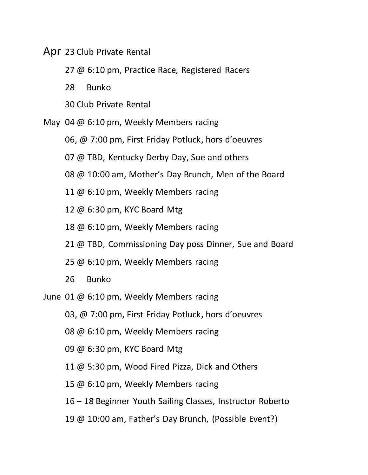Apr 23 Club Private Rental

27 @ 6:10 pm, Practice Race, Registered Racers

28 Bunko

- 30 Club Private Rental
- May 04 @ 6:10 pm, Weekly Members racing
	- 06, @ 7:00 pm, First Friday Potluck, hors d'oeuvres
	- 07 @ TBD, Kentucky Derby Day, Sue and others
	- 08 @ 10:00 am, Mother's Day Brunch, Men of the Board
	- 11 @ 6:10 pm, Weekly Members racing
	- 12 @ 6:30 pm, KYC Board Mtg
	- 18 @ 6:10 pm, Weekly Members racing
	- 21 @ TBD, Commissioning Day poss Dinner, Sue and Board
	- 25 @ 6:10 pm, Weekly Members racing
	- 26 Bunko
- June 01 @ 6:10 pm, Weekly Members racing
	- 03, @ 7:00 pm, First Friday Potluck, hors d'oeuvres
	- 08 @ 6:10 pm, Weekly Members racing
	- 09 @ 6:30 pm, KYC Board Mtg
	- 11 @ 5:30 pm, Wood Fired Pizza, Dick and Others
	- 15 @ 6:10 pm, Weekly Members racing
	- 16 18 Beginner Youth Sailing Classes, Instructor Roberto
	- 19 @ 10:00 am, Father's Day Brunch, (Possible Event?)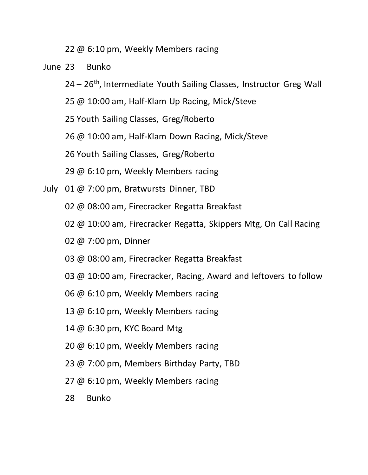22 @ 6:10 pm, Weekly Members racing

June 23 Bunko

- $24 26$ <sup>th</sup>, Intermediate Youth Sailing Classes, Instructor Greg Wall
- 25 @ 10:00 am, Half-Klam Up Racing, Mick/Steve
- 25 Youth Sailing Classes, Greg/Roberto
- 26 @ 10:00 am, Half-Klam Down Racing, Mick/Steve
- 26 Youth Sailing Classes, Greg/Roberto
- 29 @ 6:10 pm, Weekly Members racing
- July 01 @ 7:00 pm, Bratwursts Dinner, TBD
	- 02 @ 08:00 am, Firecracker Regatta Breakfast
	- 02 @ 10:00 am, Firecracker Regatta, Skippers Mtg, On Call Racing
	- 02 @ 7:00 pm, Dinner
	- 03 @ 08:00 am, Firecracker Regatta Breakfast
	- 03 @ 10:00 am, Firecracker, Racing, Award and leftovers to follow
	- 06 @ 6:10 pm, Weekly Members racing
	- 13 @ 6:10 pm, Weekly Members racing
	- 14 @ 6:30 pm, KYC Board Mtg
	- 20 @ 6:10 pm, Weekly Members racing
	- 23 @ 7:00 pm, Members Birthday Party, TBD
	- 27 @ 6:10 pm, Weekly Members racing
	- 28 Bunko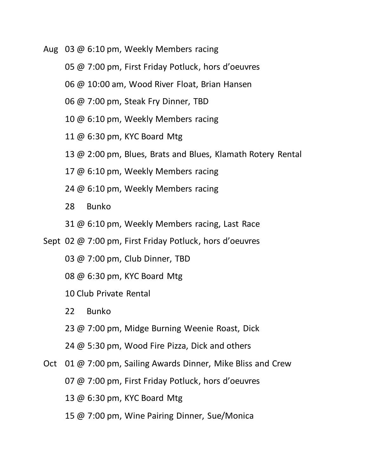- Aug 03 @ 6:10 pm, Weekly Members racing
	- 05 @ 7:00 pm, First Friday Potluck, hors d'oeuvres
	- 06 @ 10:00 am, Wood River Float, Brian Hansen
	- 06 @ 7:00 pm, Steak Fry Dinner, TBD
	- 10 @ 6:10 pm, Weekly Members racing
	- 11 @ 6:30 pm, KYC Board Mtg
	- 13 @ 2:00 pm, Blues, Brats and Blues, Klamath Rotery Rental
	- 17 @ 6:10 pm, Weekly Members racing
	- 24 @ 6:10 pm, Weekly Members racing
	- 28 Bunko
	- 31 @ 6:10 pm, Weekly Members racing, Last Race
- Sept 02 @ 7:00 pm, First Friday Potluck, hors d'oeuvres
	- 03 @ 7:00 pm, Club Dinner, TBD
	- 08 @ 6:30 pm, KYC Board Mtg
	- 10 Club Private Rental
	- 22 Bunko
	- 23 @ 7:00 pm, Midge Burning Weenie Roast, Dick
	- 24 @ 5:30 pm, Wood Fire Pizza, Dick and others
- Oct 01 @ 7:00 pm, Sailing Awards Dinner, Mike Bliss and Crew
	- 07 @ 7:00 pm, First Friday Potluck, hors d'oeuvres
	- 13 @ 6:30 pm, KYC Board Mtg
	- 15 @ 7:00 pm, Wine Pairing Dinner, Sue/Monica